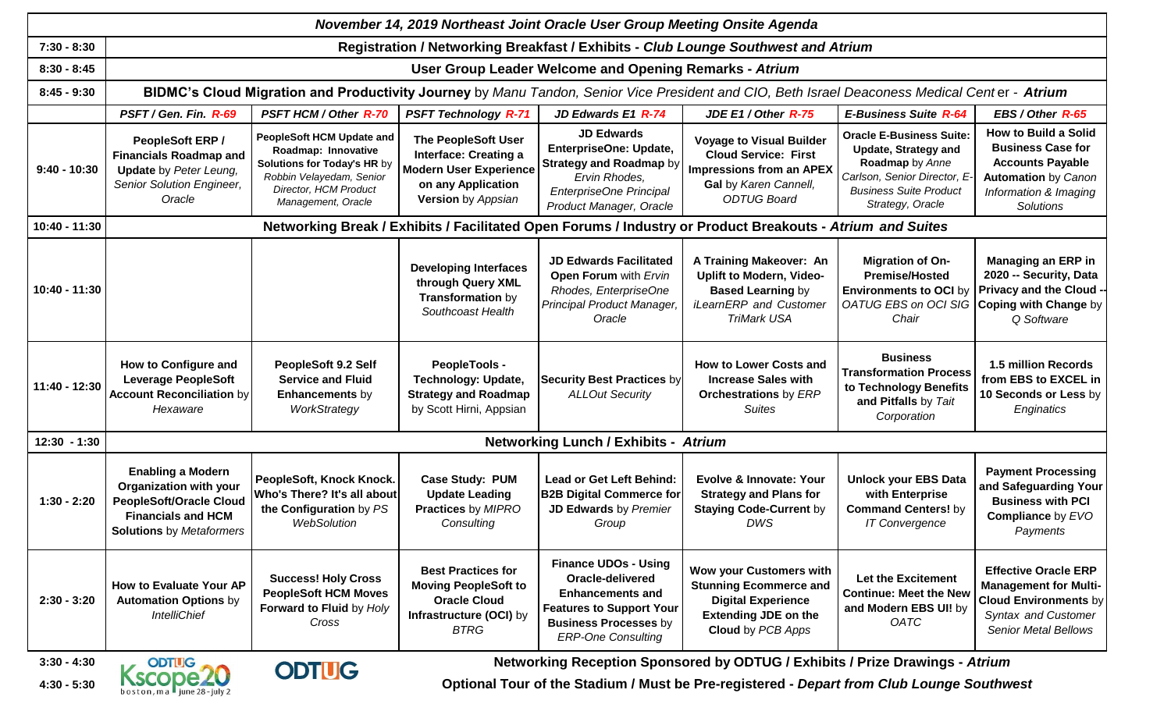| November 14, 2019 Northeast Joint Oracle User Group Meeting Onsite Agenda |                                                                                                                                                             |                                                                                                                                                                   |                                                                                                                                         |                                                                                                                                                                            |                                                                                                                                                  |                                                                                                                                                                       |                                                                                                                                                          |  |  |  |  |  |
|---------------------------------------------------------------------------|-------------------------------------------------------------------------------------------------------------------------------------------------------------|-------------------------------------------------------------------------------------------------------------------------------------------------------------------|-----------------------------------------------------------------------------------------------------------------------------------------|----------------------------------------------------------------------------------------------------------------------------------------------------------------------------|--------------------------------------------------------------------------------------------------------------------------------------------------|-----------------------------------------------------------------------------------------------------------------------------------------------------------------------|----------------------------------------------------------------------------------------------------------------------------------------------------------|--|--|--|--|--|
| $7:30 - 8:30$                                                             | Registration / Networking Breakfast / Exhibits - Club Lounge Southwest and Atrium                                                                           |                                                                                                                                                                   |                                                                                                                                         |                                                                                                                                                                            |                                                                                                                                                  |                                                                                                                                                                       |                                                                                                                                                          |  |  |  |  |  |
| $8:30 - 8:45$                                                             | User Group Leader Welcome and Opening Remarks - Atrium                                                                                                      |                                                                                                                                                                   |                                                                                                                                         |                                                                                                                                                                            |                                                                                                                                                  |                                                                                                                                                                       |                                                                                                                                                          |  |  |  |  |  |
| $8:45 - 9:30$                                                             | BIDMC's Cloud Migration and Productivity Journey by Manu Tandon, Senior Vice President and CIO, Beth Israel Deaconess Medical Center - Atrium               |                                                                                                                                                                   |                                                                                                                                         |                                                                                                                                                                            |                                                                                                                                                  |                                                                                                                                                                       |                                                                                                                                                          |  |  |  |  |  |
|                                                                           | PSFT / Gen. Fin. R-69                                                                                                                                       | <b>PSFT HCM / Other R-70</b>                                                                                                                                      | <b>PSFT Technology R-71</b>                                                                                                             | JD Edwards E1 R-74                                                                                                                                                         | JDE E1 / Other R-75                                                                                                                              | <b>E-Business Suite R-64</b>                                                                                                                                          | EBS / Other R-65                                                                                                                                         |  |  |  |  |  |
| $9:40 - 10:30$                                                            | <b>PeopleSoft ERP /</b><br><b>Financials Roadmap and</b><br><b>Update</b> by Peter Leung,<br>Senior Solution Engineer,<br>Oracle                            | <b>PeopleSoft HCM Update and</b><br>Roadmap: Innovative<br>Solutions for Today's HR by<br>Robbin Velayedam, Senior<br>Director, HCM Product<br>Management, Oracle | <b>The PeopleSoft User</b><br><b>Interface: Creating a</b><br><b>Modern User Experience</b><br>on any Application<br>Version by Appsian | <b>JD Edwards</b><br>EnterpriseOne: Update,<br><b>Strategy and Roadmap by</b><br>Ervin Rhodes,<br>EnterpriseOne Principal<br>Product Manager, Oracle                       | <b>Voyage to Visual Builder</b><br><b>Cloud Service: First</b><br><b>Impressions from an APEX</b><br>Gal by Karen Cannell,<br><b>ODTUG Board</b> | <b>Oracle E-Business Suite:</b><br><b>Update, Strategy and</b><br>Roadmap by Anne<br>Carlson, Senior Director, E<br><b>Business Suite Product</b><br>Strategy, Oracle | <b>How to Build a Solid</b><br><b>Business Case for</b><br><b>Accounts Payable</b><br><b>Automation by Canon</b><br>Information & Imaging<br>Solutions   |  |  |  |  |  |
| 10:40 - 11:30                                                             | Networking Break / Exhibits / Facilitated Open Forums / Industry or Product Breakouts - Atrium and Suites                                                   |                                                                                                                                                                   |                                                                                                                                         |                                                                                                                                                                            |                                                                                                                                                  |                                                                                                                                                                       |                                                                                                                                                          |  |  |  |  |  |
| 10:40 - 11:30                                                             |                                                                                                                                                             |                                                                                                                                                                   | <b>Developing Interfaces</b><br>through Query XML<br>Transformation by<br>Southcoast Health                                             | <b>JD Edwards Facilitated</b><br>Open Forum with Ervin<br>Rhodes, EnterpriseOne<br>Principal Product Manager<br>Oracle                                                     | A Training Makeover: An<br><b>Uplift to Modern, Video-</b><br><b>Based Learning by</b><br>iLearnERP and Customer<br><b>TriMark USA</b>           | <b>Migration of On-</b><br><b>Premise/Hosted</b><br><b>Environments to OCI by</b><br><b>OATUG EBS on OCI SIG</b><br>Chair                                             | <b>Managing an ERP in</b><br>2020 -- Security, Data<br><b>Privacy and the Cloud -</b><br>Coping with Change by<br>Q Software                             |  |  |  |  |  |
| 11:40 - 12:30                                                             | How to Configure and<br><b>Leverage PeopleSoft</b><br><b>Account Reconciliation by</b><br>Hexaware                                                          | PeopleSoft 9.2 Self<br><b>Service and Fluid</b><br><b>Enhancements by</b><br>WorkStrategy                                                                         | <b>PeopleTools -</b><br><b>Technology: Update,</b><br><b>Strategy and Roadmap</b><br>by Scott Hirni, Appsian                            | <b>Security Best Practices by</b><br><b>ALLOut Security</b>                                                                                                                | <b>How to Lower Costs and</b><br><b>Increase Sales with</b><br><b>Orchestrations</b> by ERP<br><b>Suites</b>                                     | <b>Business</b><br><b>Transformation Process</b><br>to Technology Benefits<br>and Pitfalls by Tait<br>Corporation                                                     | 1.5 million Records<br>from EBS to EXCEL in<br>10 Seconds or Less by<br>Enginatics                                                                       |  |  |  |  |  |
| $12:30 - 1:30$                                                            | <b>Networking Lunch / Exhibits - Atrium</b>                                                                                                                 |                                                                                                                                                                   |                                                                                                                                         |                                                                                                                                                                            |                                                                                                                                                  |                                                                                                                                                                       |                                                                                                                                                          |  |  |  |  |  |
| $1:30 - 2:20$                                                             | <b>Enabling a Modern</b><br><b>Organization with your</b><br><b>PeopleSoft/Oracle Cloud</b><br><b>Financials and HCM</b><br><b>Solutions</b> by Metaformers | PeopleSoft, Knock Knock.<br>Who's There? It's all about<br>the Configuration by PS<br><b>WebSolution</b>                                                          | <b>Case Study: PUM</b><br><b>Update Leading</b><br>Practices by MIPRO<br>Consulting                                                     | <b>Lead or Get Left Behind:</b><br><b>B2B Digital Commerce for</b><br>JD Edwards by Premier<br>Group                                                                       | Evolve & Innovate: Your<br><b>Strategy and Plans for</b><br><b>Staying Code-Current by</b><br><b>DWS</b>                                         | <b>Unlock your EBS Data</b><br>with Enterprise<br><b>Command Centers! by</b><br><b>IT Convergence</b>                                                                 | <b>Payment Processing</b><br>and Safeguarding Your<br><b>Business with PCI</b><br><b>Compliance by EVO</b><br>Payments                                   |  |  |  |  |  |
| $2:30 - 3:20$                                                             | <b>How to Evaluate Your AP</b><br><b>Automation Options by</b><br><b>IntelliChief</b>                                                                       | <b>Success! Holy Cross</b><br><b>PeopleSoft HCM Moves</b><br>Forward to Fluid by Holy<br>Cross                                                                    | <b>Best Practices for</b><br><b>Moving PeopleSoft to</b><br><b>Oracle Cloud</b><br>Infrastructure (OCI) by<br><b>BTRG</b>               | <b>Finance UDOs - Using</b><br>Oracle-delivered<br><b>Enhancements and</b><br><b>Features to Support Your</b><br><b>Business Processes by</b><br><b>ERP-One Consulting</b> | Wow your Customers with<br><b>Stunning Ecommerce and</b><br><b>Digital Experience</b><br><b>Extending JDE on the</b><br><b>Cloud</b> by PCB Apps | Let the Excitement<br><b>Continue: Meet the New</b><br>and Modern EBS UI! by<br><b>OATC</b>                                                                           | <b>Effective Oracle ERP</b><br><b>Management for Multi-</b><br><b>Cloud Environments by</b><br><b>Syntax and Customer</b><br><b>Senior Metal Bellows</b> |  |  |  |  |  |

**Networking Reception Sponsored by ODTUG / Exhibits / Prize Drawings -** *Atrium*

**4:30 - 5:30**

**ODTUG** 

**3:30 - 4:30**



 **OPTIIG**<br>  **COPTIIG**<br>
OPTIIG<br>
Optional Tour of the Stadium / Must be Pre-registered - *Depart from Club Lounge Southwest* **COPTIIG**<br>
Optional Tour of the Stadium / Must be Pre-registered - *Depart from Club Lounge Southwe*